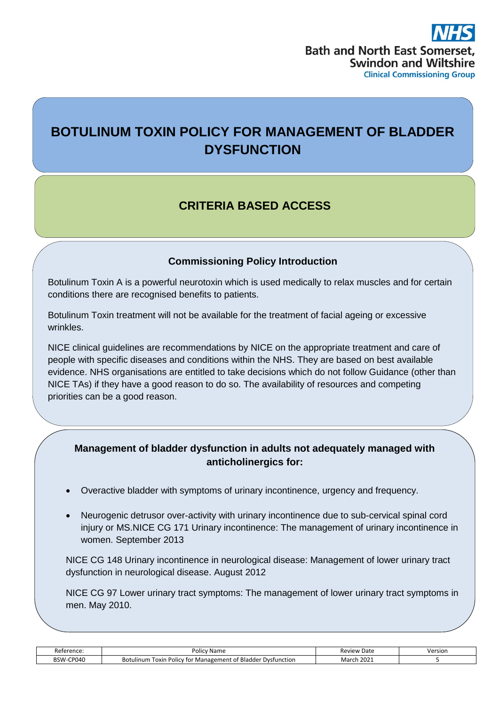# **BOTULINUM TOXIN POLICY FOR MANAGEMENT OF BLADDER DYSFUNCTION**

## **CRITERIA BASED ACCESS**

### **Commissioning Policy Introduction**

Botulinum Toxin A is a powerful neurotoxin which is used medically to relax muscles and for certain conditions there are recognised benefits to patients.

Botulinum Toxin treatment will not be available for the treatment of facial ageing or excessive wrinkles.

NICE clinical guidelines are recommendations by NICE on the appropriate treatment and care of people with specific diseases and conditions within the NHS. They are based on best available evidence. NHS organisations are entitled to take decisions which do not follow Guidance (other than NICE TAs) if they have a good reason to do so. The availability of resources and competing priorities can be a good reason.

#### **Management of bladder dysfunction in adults not adequately managed with anticholinergics for:**

- Overactive bladder with symptoms of urinary incontinence, urgency and frequency.
- Neurogenic detrusor over-activity with urinary incontinence due to sub-cervical spinal cord injury or MS.NICE CG 171 Urinary incontinence: The management of urinary incontinence in women. September 2013

NICE CG 148 Urinary incontinence in neurological disease: Management of lower urinary tract dysfunction in neurological disease. August 2012

NICE CG 97 Lower urinary tract symptoms: The management of lower urinary tract symptoms in men. May 2010.

| Reference<br>יוסא        | Policy<br>Mame:                                                                                   | $\sim$<br>Rev<br>Date<br>$V$ I $\bigtriangleup M$ | Version<br>. |
|--------------------------|---------------------------------------------------------------------------------------------------|---------------------------------------------------|--------------|
| -CP040<br>へいい<br>۷۷۰ د ب | <sup>F</sup> Bladder Dvsfunction<br>Foxin<br>. Polic'<br>Management ·<br>Botulinum<br>∕ tor<br>∩t | 2021<br>Marc<br>. .                               |              |